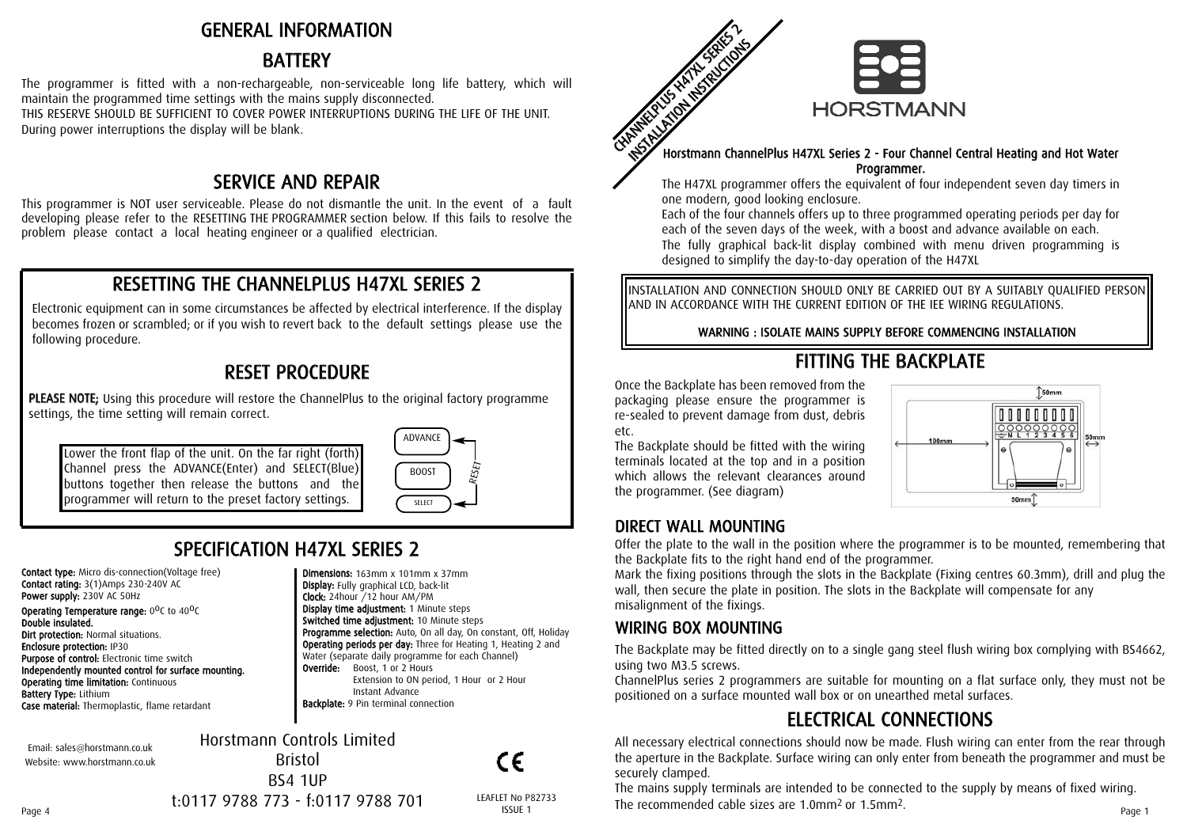## GENERAL INFORMATION

## BATTERY

The programmer is fitted with a non-rechargeable, non-serviceable long life battery, which will maintain the programmed time settings with the mains supply disconnected. THIS RESERVE SHOULD BE SUFFICIENT TO COVER POWER INTERRUPTIONS DURING THE LIFE OF THE UNIT. During power interruptions the display will be blank.

## SER VICE A N D REP AIR

This programmer is NOT user serviceable. Please do not dismantle the unit. In the event of a fault developing please refer to the RESETTING THE PROGRAMMER section below. If this fails to resolve the problem please contact a local heating engineer or a qualified electrician.

## RESETTING THE CHANNELPLUS H47XL SERIES 2

Electronic equipment can in some circumstances be affected by electrical interference. If the display becomes frozen or scrambled; or if you wish to revert back to the default settings please use the following procedure.

## RESET PROCEDURE

PLEASE NOTE; Using this procedure will restore the ChannelPlus to the original factory programme settings, the time setting will remain correct.

Lower the front flap of the unit. On the far right (forth) Channel press the ADVANCE(Enter) and SELECT(Blue) buttons together then release the buttons and the programmer will return to the preset factory settings.



**Programme selection:** Auto, On all day, On constant, Off, Holiday Operating periods per day: Three for Heating 1, Heating 2 and Water (separate daily programme for each Channel)

Extension to ON period, 1 Hour or 2 Hour

Dimensions: 163mm x 101mm x 37mm Display: Fully graphical LCD, back-lit Clock: 24hour /12 hour AM/PM Display time adjustment: 1 Minute steps Switched time adjustment: 10 Minute steps

**Override:** Boost, 1 or 2 Hours

Instant Advance Backplate: 9 Pin terminal connection

# S PECIFIC A TIO N H 4 7 XL SERIES 2

Contact type: Micro dis-connection(Voltage free) Contact rating: 3(1)Amps 230-240V AC Power supply: 230V AC 50Hz **Operating Temperature range:**  $0^0C$  to  $40^0C$ Double insulated. **Dirt protection: Normal situations.** Enclosure protection: IP30 Purpose of control: Electronic time switch Independently mounted control for surface mounting. **Operating time limitation: Continuous** Battery Type: Lithium Case material: Thermoplastic, flame retardant

Email: sales@horstmann.co.uk Website: www.horstmann.co.uk Horstmann Controls Limited Bristol BS4 1UP

CE

t:0117 9788 773 - f:0117 9788 701



#### Horstmann ChannelPlus H47XL Series 2 - Four Channel Central Heating and Hot Water Program mer.

The H47XL programmer offers the equivalent of four independent seven day timers in one modern, good looking enclosure.

Each of the four channels offers up to three programmed operating periods per day for each of the seven days of the week, with a boost and advance available on each. The fully graphical back-lit display combined with menu driven programming is designed to simplify the day-to-day operation of the H47XL

INSTALLATION AND CONNECTION SHOULD ONLY BE CARRIED OUT BY A SUITABLY QUALIFIED PERSON AND IN ACCORDANCE WITH THE CURRENT EDITION OF THE IEE WIRING REGULATIONS.

WARNING : ISOLATE MAINS SUPPLY BEFORE COMMENCING INSTALLATION

# FITTING THE BACKPLATE

Once the Backplate has been removed from the packaging please ensure the programmer is re-sealed to prevent damage from dust, debris etc.

The Backplate should be fitted with the wiring terminals located at the top and in a position which allows the relevant clearances around the programmer. (See diagram)



## DIRECT WALL MOUNTING

Offer the plate to the wall in the position where the programmer is to be mounted, remembering that the Backplate fits to the right hand end of the programmer.

Mark the fixing positions through the slots in the Backplate (Fixing centres 60.3mm), drill and plug the wall, then secure the plate in position. The slots in the Backplate will compensate for any misalignment of the fixings.

## WIRING BOX MOUNTING

The Backplate may be fitted directly on to a single gang steel flush wiring box complying with BS4662, using two M3.5 screws.

ChannelPlus series 2 programmers are suitable for mounting on a flat surface only, they must not be positioned on a surface mounted wall box or on unearthed metal surfaces.

# ELECTRICAL CONNECTIONS

All necessary electrical connections should now be made. Flush wiring can enter from the rear through the aperture in the Backplate. Surface wiring can only enter from beneath the programmer and must be securely clamped.

The mains supply terminals are intended to be connected to the supply by means of fixed wiring. The recommended cable sizes are 1.0mm<sup>3</sup> or the recommended cable sizes are 1.0mm<sup>2</sup> or 1.5mm<sup>2</sup>.<br>Page 1 Page 1 LEAFLET No P82733 The recommended cable sizes are 1.0mm<sup>2</sup> or 1.5mm<sup>2</sup>.